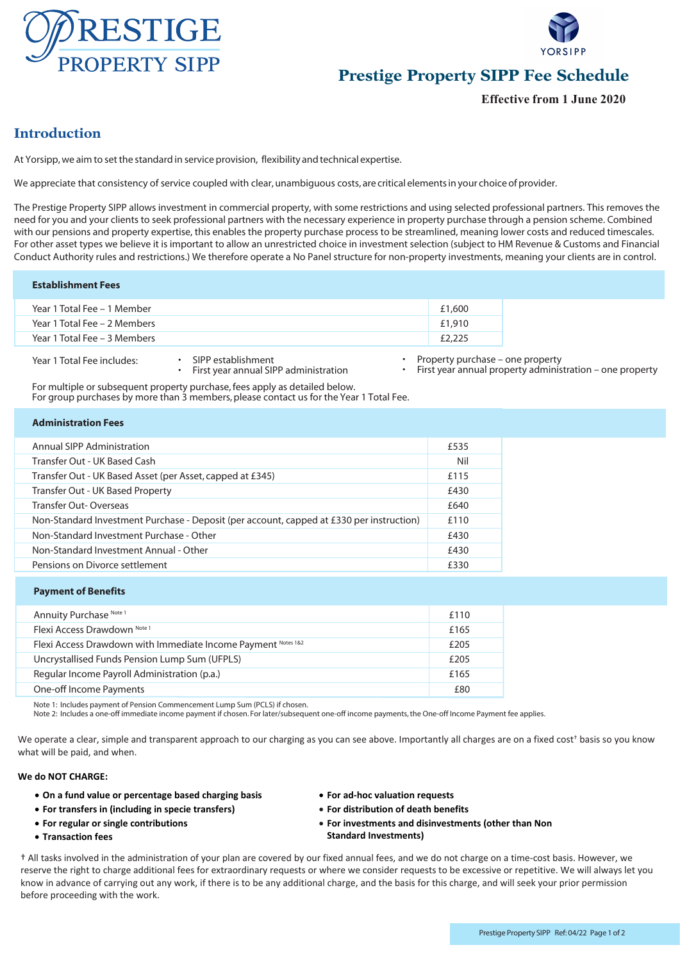



# **Prestige Property SIPP Fee Schedule**

**Effective from 1 June 2020**

# **Introduction**

At Yorsipp, we aim to set the standard in service provision, flexibility and technical expertise.

We appreciate that consistency of service coupled with clear, unambiguous costs, are critical elements in your choice of provider.

The Prestige Property SIPP allows investment in commercial property, with some restrictions and using selected professional partners. This removes the need for you and your clients to seek professional partners with the necessary experience in property purchase through a pension scheme. Combined with our pensions and property expertise, this enables the property purchase process to be streamlined, meaning lower costs and reduced timescales. For other asset types we believe it is important to allow an unrestricted choice in investment selection (subject to HM Revenue & Customs and Financial Conduct Authority rules and restrictions.) We therefore operate a No Panel structure for non-property investments, meaning your clients are in control.

#### **Establishment Fees**

| Year 1 Total Fee – 1 Member  | £1,600 |
|------------------------------|--------|
| Year 1 Total Fee - 2 Members | £1.910 |
| Year 1 Total Fee - 3 Members | £2,225 |

Year 1 Total Fee includes: • SIPP establishment

- First year annual SIPP administration
- Property purchase one property
- First year annual property administration one property

For multiple or subsequent property purchase, fees apply as detailed below. For group purchases by more than 3 members, please contact us for the Year 1 Total Fee.

| <b>Administration Fees</b> |  |
|----------------------------|--|
|                            |  |

| <b>Annual SIPP Administration</b>                                                        | £535 |
|------------------------------------------------------------------------------------------|------|
| Transfer Out - UK Based Cash                                                             | Nil  |
| Transfer Out - UK Based Asset (per Asset, capped at £345)                                | £115 |
| Transfer Out - UK Based Property                                                         | £430 |
| Transfer Out-Overseas                                                                    | £640 |
| Non-Standard Investment Purchase - Deposit (per account, capped at £330 per instruction) | £110 |
| Non-Standard Investment Purchase - Other                                                 | £430 |
| Non-Standard Investment Annual - Other                                                   | £430 |
| Pensions on Divorce settlement                                                           | £330 |
|                                                                                          |      |

### **Payment of Benefits**

| Annuity Purchase Note 1                                       | £110 |
|---------------------------------------------------------------|------|
| Flexi Access Drawdown Note 1                                  | £165 |
| Flexi Access Drawdown with Immediate Income Payment Notes 1&2 | £205 |
| Uncrystallised Funds Pension Lump Sum (UFPLS)                 | £205 |
| Regular Income Payroll Administration (p.a.)                  | £165 |
| One-off Income Payments                                       | £80  |

Note 1: Includes payment of Pension Commencement Lump Sum (PCLS) if chosen.

Note 2: Includes a one-off immediate income payment if chosen. For later/subsequent one-off income payments, the One-off Income Payment fee applies.

We operate a clear, simple and transparent approach to our charging as you can see above. Importantly all charges are on a fixed cost<sup>+</sup> basis so you know what will be paid, and when.

#### **We do NOT CHARGE:**

- **On a fund value or percentage based charging basis**
- **For transfers in (including in specie transfers)**
- **For regular or single contributions**
- **Transaction fees**
- **For ad-hoc valuation requests**
- **For distribution of death benefits**
- **For investments and disinvestments (other than Non Standard Investments)**

† All tasks involved in the administration of your plan are covered by our fixed annual fees, and we do not charge on a time-cost basis. However, we reserve the right to charge additional fees for extraordinary requests or where we consider requests to be excessive or repetitive. We will always let you know in advance of carrying out any work, if there is to be any additional charge, and the basis for this charge, and will seek your prior permission before proceeding with the work.